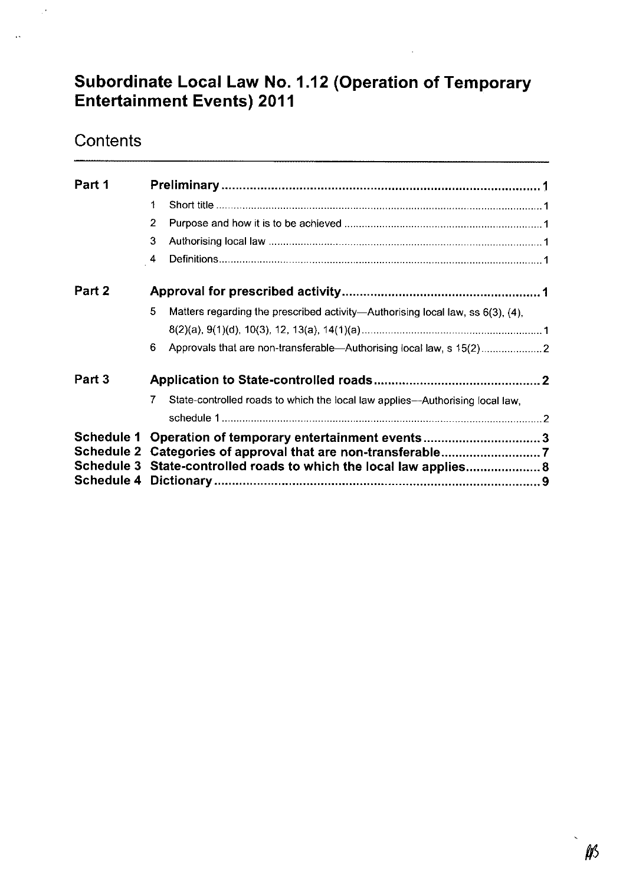# Subordinate Local Law No. 1.12 (Operation of Temporary Entertainment Events) 2011

# **Contents**

 $\mathbb{R}^2$ 

 $\ddot{\phantom{a}}$ 

| Part 1                          |                                                         |                                                                                |  |
|---------------------------------|---------------------------------------------------------|--------------------------------------------------------------------------------|--|
|                                 | 1                                                       |                                                                                |  |
|                                 | 2                                                       |                                                                                |  |
|                                 | 3                                                       |                                                                                |  |
|                                 | $\overline{4}$                                          |                                                                                |  |
| Part 2                          |                                                         |                                                                                |  |
|                                 | 5                                                       | Matters regarding the prescribed activity—Authorising local law, ss 6(3), (4), |  |
|                                 |                                                         |                                                                                |  |
|                                 | 6                                                       | Approvals that are non-transferable-Authorising local law, s 15(2)             |  |
| Part 3                          |                                                         |                                                                                |  |
|                                 | 7                                                       | State-controlled roads to which the local law applies---Authorising local law, |  |
|                                 |                                                         |                                                                                |  |
| <b>Schedule 1</b><br>Schedule 3 | Operation of temporary entertainment events3            |                                                                                |  |
|                                 | State-controlled roads to which the local law applies 8 |                                                                                |  |
|                                 |                                                         |                                                                                |  |
| <b>Schedule 4</b>               |                                                         |                                                                                |  |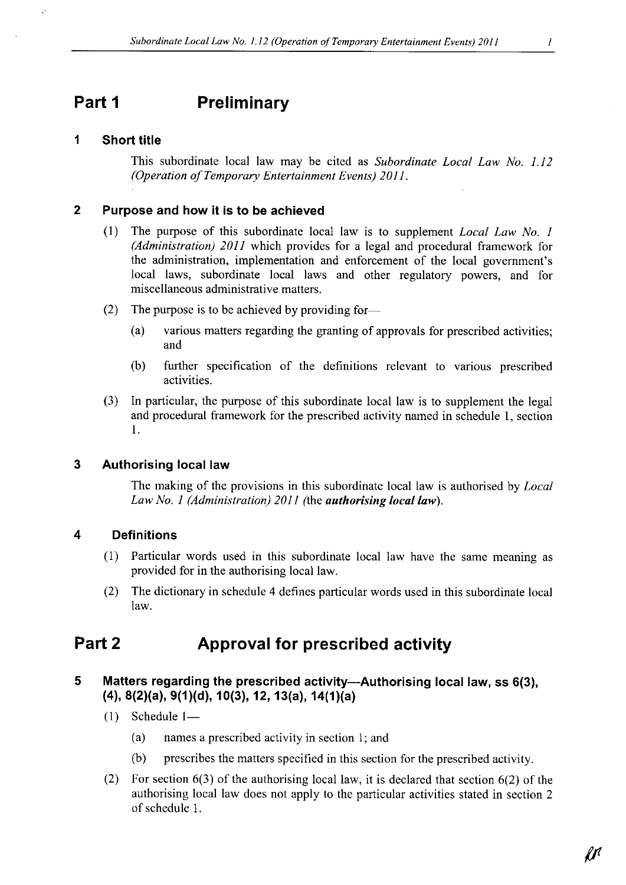# Part 1 Preliminary

#### <sup>1</sup> Short title

This subordinate local law may be cited as *Subordinate Local Law No. 1.12* (Operation of Temporary Entertainment Events) 2011.

#### <sup>2</sup> Purpose and how it is to be achieved

- (1) The purpose of this subordinate local law is to supplement Local Law No. <sup>1</sup> (Administration)  $2011$  which provides for a legal and procedural framework for the administration, implementation and enforcement of the local government's local laws, subordinate local laws and other regulatory powers, and for miscellaneous administrative matters.
- (2) The purpose is to be achieved by providing for-
	- (a) various matters regarding the granting of approvals for prescribed activities; and
	- (b) further specification of the definitions relevant to various prescribed activities.
- (3) In particular, the purpose of this subordinate local law is to supplement the legal and procedural framework for the prescribed activity named in schedule 1, section 1.

#### 3 Authorising local law

The making of the provisions in this subordinate local law is authorised by *Local* Law No. 1 (Administration) 2011 (the **authorising local law**).

### 4 Definitions

- (1) Particular words used in this subordinate local law have the same meaning as provided for in the authorising local law.
- (2) The dictionary in schedule <sup>4</sup> defines particular words used in this subordinatelocal law.

## Part 2 **Approval for prescribed activity**

### 5 Matters regarding the prescribed activity---Authorising local law, ss 6(3), (4), 8(2)(a), 9(1)(d), 10(3), 12, 13(a), 14(1)(a)

- $(1)$  Schedule 1-
	- (a) names <sup>a</sup> prescribed activity in section 1; and
	- (b) prescribes the matters specified in this section for the prescribed activity.
- (2) For section 6(3) of the authorising local law, it is declared that section 6(2) of the authorising local law does not apply to the particular activities stated in section <sup>2</sup> of schedule 1.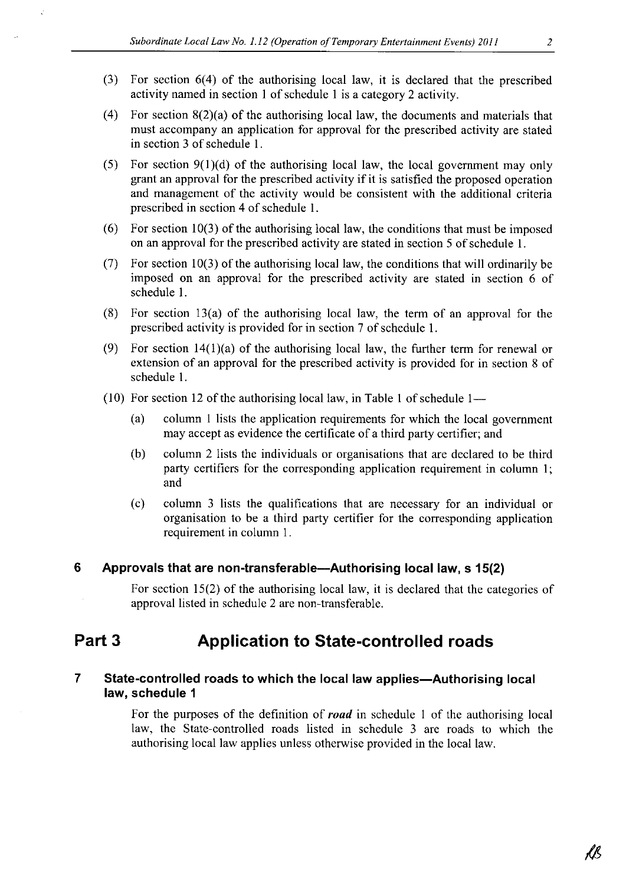- (3) For section 6(4) of the authorising local law, it is declared that the prescribed activitynamed in section <sup>1</sup> of schedule <sup>1</sup> is <sup>a</sup> category <sup>2</sup> activity.
- (4) For section 8(2)(a) of the authorising local law, the documents and materials that must accompany an application for approval for the prescribed activity are stated in section <sup>3</sup> of schedule 1.
- (5) For section  $9(1)(d)$  of the authorising local law, the local government may only grant an approval for the prescribed activity if it is satisfied the proposed operation and management of the activity would be consistent with the additional criteria prescribed in section <sup>4</sup> of schedule 1.
- (6) For section 10(3) of the authorising local law, the conditions that must be imposed on an approval for the prescribed activity are stated in section <sup>5</sup> of schedule 1.
- (7) For section 10(3) of the authorising local law, the conditions that will ordinarily be imposed on an approval for the prescribed activity are stated in section <sup>6</sup> of schedule 1.
- (8) For section 13(a) of the authorising local law, the term of an approval for the prescribed activity is provided for in section <sup>7</sup> of schedule 1.
- (9) For section 14(1)(a) of the authorising local law, the further term for renewal or extension of an approval for the prescribed activity is provided for in section <sup>8</sup> of schedule 1.
- (10) For section 12 of the authorising local law, in Table 1 of schedule  $1-$ <br>(a) column 1 lists the application requirements for which the local government
	- may accept as evidence the certificate of a third party certifier; and
	- (b) column <sup>2</sup> lists the individuals or organisations that are declared to be third party certifiers for the corresponding application requirement in column 1; and
	- (c) column <sup>3</sup> lists the qualifications that are necessary for an individual or organisation to be <sup>a</sup> third party certifier for the corresponding application requirement in column 1.

#### 6 Approvals that are non-transferable--Authorising local law, s 15(2)

For section  $15(2)$  of the authorising local law, it is declared that the categories of approval listed in schedule <sup>2</sup> are non-transferable.

## Part <sup>3</sup> Application to State-controlled roads

#### 7 State-controlled roads to which the local law applies-Authorising local law, schedule <sup>1</sup>

For the purposes of the definition of **road** in schedule 1 of the authorising local law, the State-controlled roads listed in schedule <sup>3</sup> are roads to which the authorising local law applies unless otherwise provided in the local law.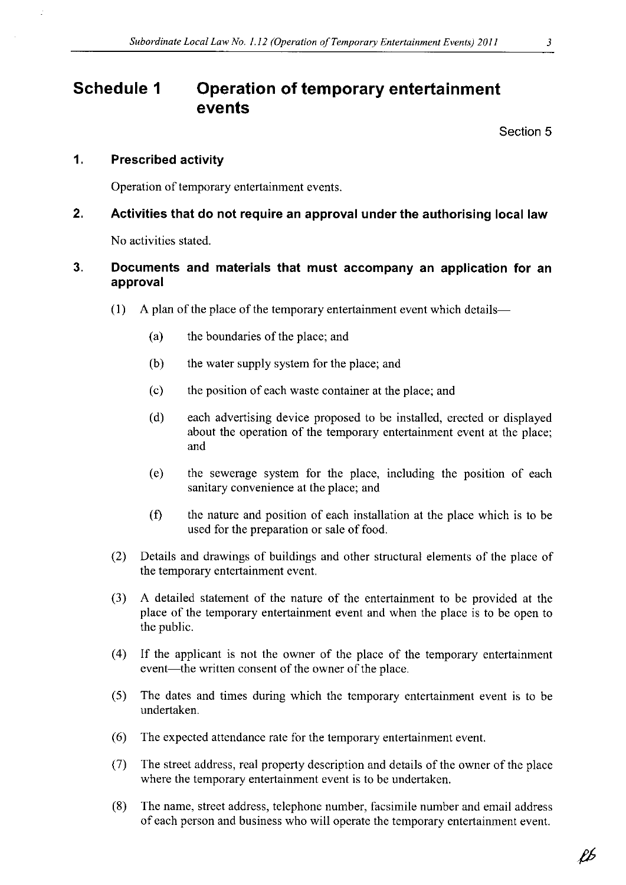# Schedule <sup>1</sup> Operation of temporary entertainment events

Section 5

#### 1. Prescribed activity

Operation of temporary entertainment events.

## 2. Activities that do not require an approval under the authorising local law

No activities stated.

### 3. Documents and materials that must accompany an application for an approval

- $(1)$  A plan of the place of the temporary entertainment event which details-
	- (a) the boundaries of the place; and
	- (b) the water supply system for the place; and
	- (c) the position of each waste container at the place; and
	- (d) each advertising device proposed to be installed, erected or displayed about the operation of the temporary entertainment event at the place; and
	- (e) the sewerage system for the place, including the position of each sanitary convenience at the place; and
	- (f) the nature and position of each installation at the place which is to be used for the preparation or sale of food.
- (2) Details and drawings of buildings and other structural elements of the place of the temporary entertainment event.
- (3) A detailed statement of the nature of the entertainment to be provided at the place of the temporary entertainment event and when the place is to be open to the public.
- (4) If the applicant is not the owner of the place of the temporary entertainment event-the written consent of the owner of the place.
- (5) The dates and times during which the temporary entertainment event is to be undertaken.
- $(6)$  The expected attendance rate for the temporary entertainment event.
- (7) The street address, real property description and details of the owner of the place where the temporary entertainment event is to be undertaken.
- (8) The name, street address, telephone number, facsimile numberand email address of each person and business who will operate the temporary entertainment event.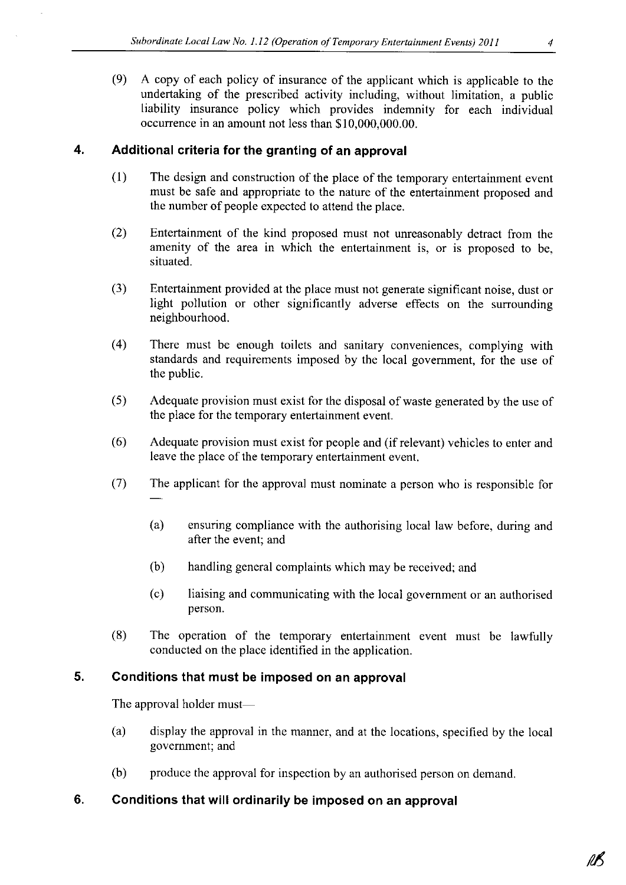(9) <sup>A</sup> copy of each policy of insurance of the applicant which is applicable to the liability insurance policy which provides indemnity for each individual occurrence in an amount not less than \$10,000,000.00.

### 4. Additional criteria for the granting of an approval

- (1) The design and construction of the place of the temporary entertainment event must be safe and appropriate to the nature of the entertainment proposed and the number of people expected to attend the place.
- (2) Entertainment of the kind proposed must not unreasonably detract from the amenity of the area in which the entertainment is, or is proposed to be, situated.
- $(3)$  Entertainment provided at the place must not generate significant noise, dust or light pollution or other significantly adverse effects on the surrounding neighbourhood.
- (4) There must be enough toilets and sanitary conveniences, complying with standards and requirements imposed by the local government, for the use of the public.
- (5) Adequate provision must exist for the disposal of waste generated by the use of the place for the temporary entertainment event.
- (6) Adequate provision must exist for people and (ifrelevant) vehicles to enter and leave the place of the temporary entertainment event.
- (7) The applicant for the approval must nominate <sup>a</sup> person who is responsible for
	- (a) ensuring compliance with the authorising local law before, during and after the event; and
	- (b) handling general complaints which may be received; and
	- (c) liaising and communicatingwith the local government or an authorised person.
- (8) The operation of the temporary entertainment event must be lawfully conducted on the place identified in the application.

### 5. Conditions that must be imposed on an approval

The approval holder must— $-$ 

- (a) display the approval in the manner, and at the locations, specified by the local government; and
- (b) produce the approval for inspection by an authorised person on demand.

## 6. Conditions that will ordinarily be imposed on an approval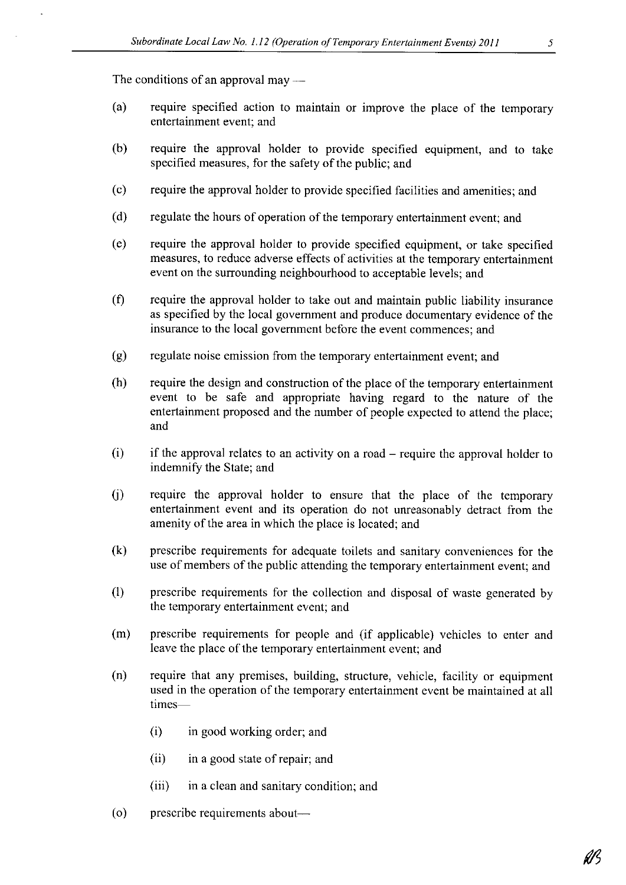The conditions of an approval may  $-$ 

- (a) require specified action to maintain or improve the place of the temporary entertainment event; and
- (b) require the approval holder to provide specified equipment, and to take specified measures, for the safety of the public; and
- (c) require the approval holder to provide specified facilities and amenities; and
- (d) regulate the hours of operation of the temporary entertainment event; and
- (e) require the approval holder to provide specified equipment, or take specified measures, to reduce adverse effects of activities at the temporary entertainment event on the surrounding neighbourhood to acceptable levels; and
- (f) require the approval holder to take out and maintain public liability insurance as specified by the local government and produce documentary evidence of the insurance to the local government before the event commences; and
- $(g)$  regulate noise emission from the temporary entertainment event; and
- (h) require the design and construction of the place of the temporary entertainment event to be safe and appropriate having regard to the nature of the entertainment proposed and the number of people expected to attend the place; and
- $(i)$  if the approval relates to an activity on a road require the approval holder to indemnify the State; and
- (j) require the approval holder to ensure that the place of the temporary entertainment event and its operation do not unreasonably detract from the amenity of the area in which the place is located; and
- (k) prescribe requirements for adequate toilets and sanitary conveniences for the use of members of the public attending the temporary entertainment event; and
- (1) prescribe requirements for the collection and disposal of waste generated by the temporary entertainment event; and
- (m) prescribe requirements for people and (if applicable) vehicles to enter and leave the place of the temporary entertainment event; and
- (n) require that any premises, building, structure, vehicle, facility or equipment used in the operation of the temporary entertainment event be maintained at all times-
	- (i) in good working order; and
	- (ii) in <sup>a</sup> good state of repair; and
	- (iii) in <sup>a</sup> clean and sanitary condition; and
- (o) prescribe requirements about—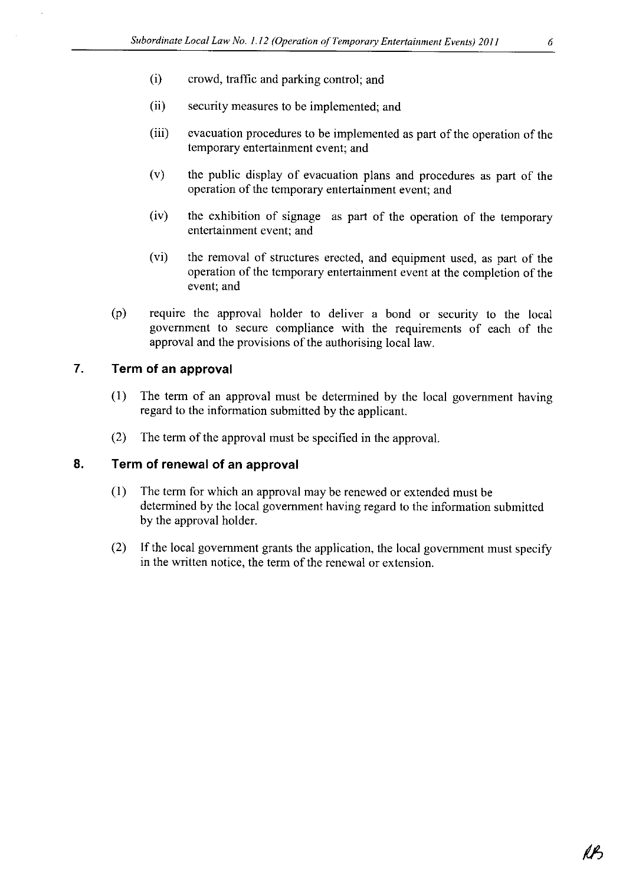- (i) crowd, traffic and parking control; and
- (ii) security measures to be implemented; and
- (iii) evacuation procedures to be implemented as part of the operation of the temporary entertainment event; and
- (v) the public display of evacuation plans and procedures as part of the operation of the temporary entertainment event; and
- (iv) the exhibition of signage as part of the operation of the temporary entertainment event; and
- (vi) the removal of structures erected, and equipment used, as part of the operation of the temporary entertainment event at the completion of the event; and
- (p) require the approval holder to deliver <sup>a</sup> bond or security to the local government to secure compliance with the requirements of each of the approval and the provisions of the authorising local law.

#### 7. Term of an approval

- (1) The term of an approval must be determined by the local government having regard to the information submitted by the applicant.
- (2) The term of the approval must be specified in the approval.

#### 8. Term of renewal of an approval

- (1) The term for which an approval may be renewed or extended must be determined by the local government having regard to the information submitted by the approval holder.
- (2) If the local government grants the application, the local government must specify in the written notice, the term of the renewal or extension.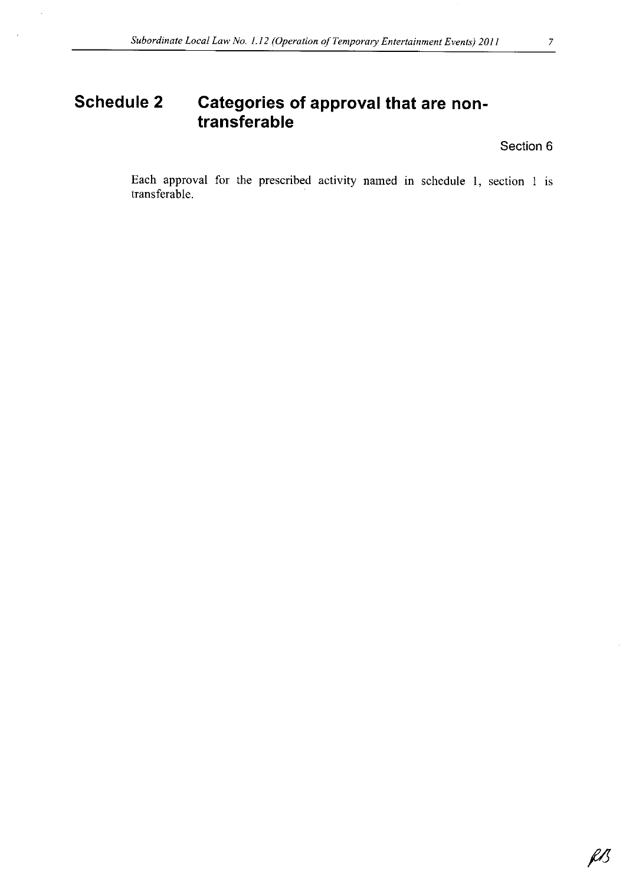### Section 6

Each approval for the prescribed activity named in schedule 1, section <sup>1</sup> is transferable.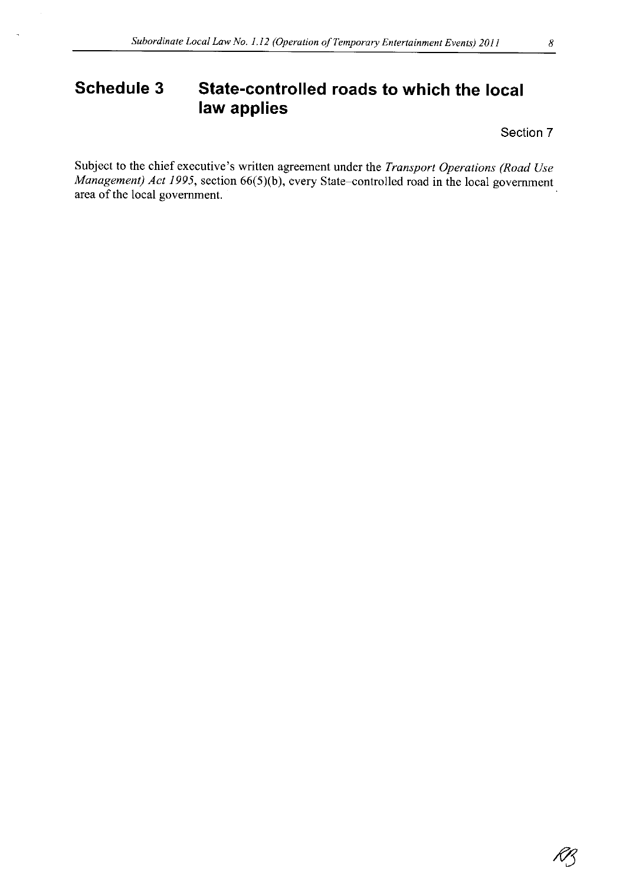# Schedule 3 State-controlled roads to which the local law applies

Section 7

Subject to the chief executive's written agreement under the Transport Operations (Road Use Management) Act 1995, section 66(5)(b), every State-controlled road in the local government area of the local government.

K